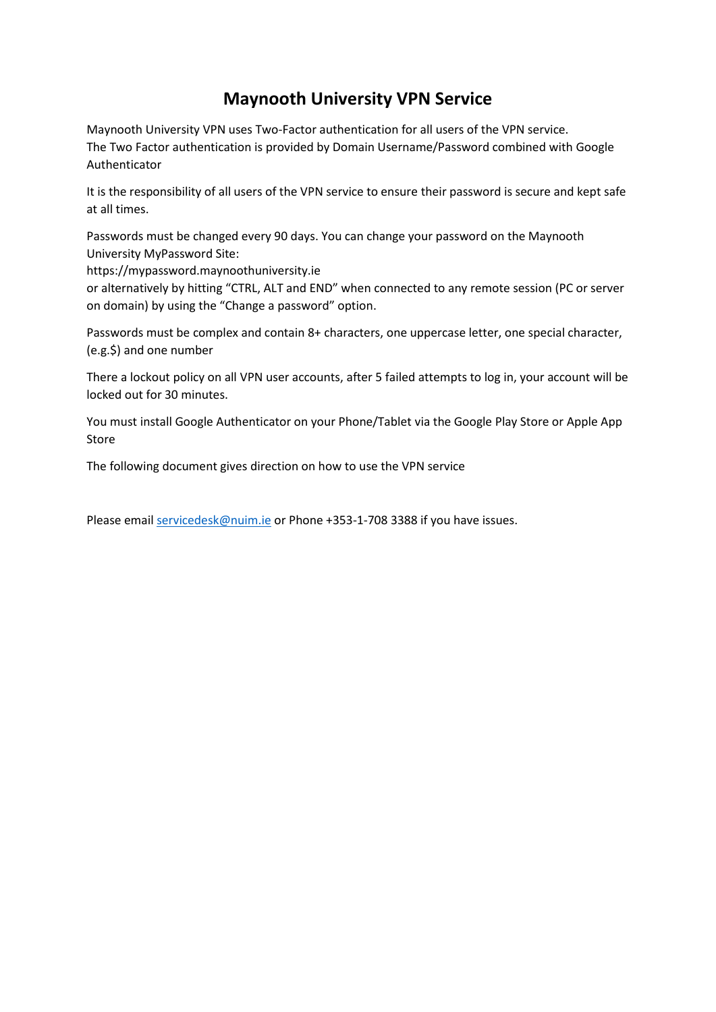## **Maynooth University VPN Service**

Maynooth University VPN uses Two-Factor authentication for all users of the VPN service. The Two Factor authentication is provided by Domain Username/Password combined with Google Authenticator

It is the responsibility of all users of the VPN service to ensure their password is secure and kept safe at all times.

Passwords must be changed every 90 days. You can change your password on the Maynooth University MyPassword Site:

https://mypassword.maynoothuniversity.ie

or alternatively by hitting "CTRL, ALT and END" when connected to any remote session (PC or server on domain) by using the "Change a password" option.

Passwords must be complex and contain 8+ characters, one uppercase letter, one special character, (e.g.\$) and one number

There a lockout policy on all VPN user accounts, after 5 failed attempts to log in, your account will be locked out for 30 minutes.

You must install Google Authenticator on your Phone/Tablet via the Google Play Store or Apple App Store

The following document gives direction on how to use the VPN service

Please email [servicedesk@nuim.ie](mailto:servicedesk@nuim.ie) or Phone +353-1-708 3388 if you have issues.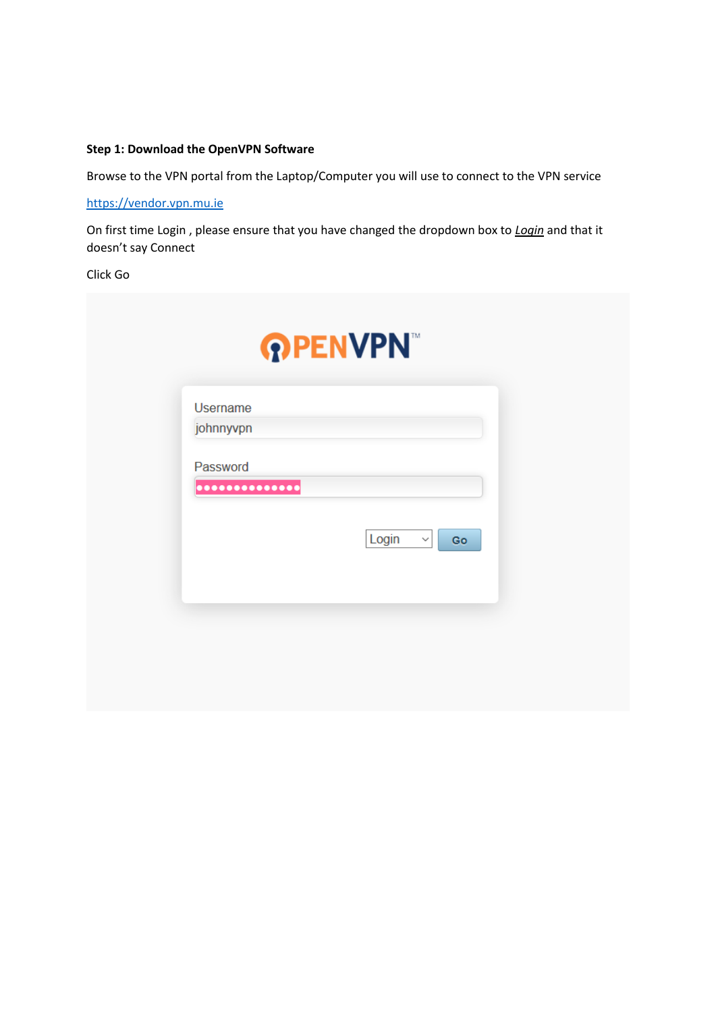### **Step 1: Download the OpenVPN Software**

Browse to the VPN portal from the Laptop/Computer you will use to connect to the VPN service

[https://vendor.vpn.mu.ie](https://vendor.vpn.mu.ie/)

On first time Login , please ensure that you have changed the dropdown box to *Login* and that it doesn't say Connect

Click Go

| <b>Username</b> |                       |    |
|-----------------|-----------------------|----|
| johnnyvpn       |                       |    |
| Password        |                       |    |
|                 |                       |    |
|                 | Login<br>$\checkmark$ | Go |
|                 |                       |    |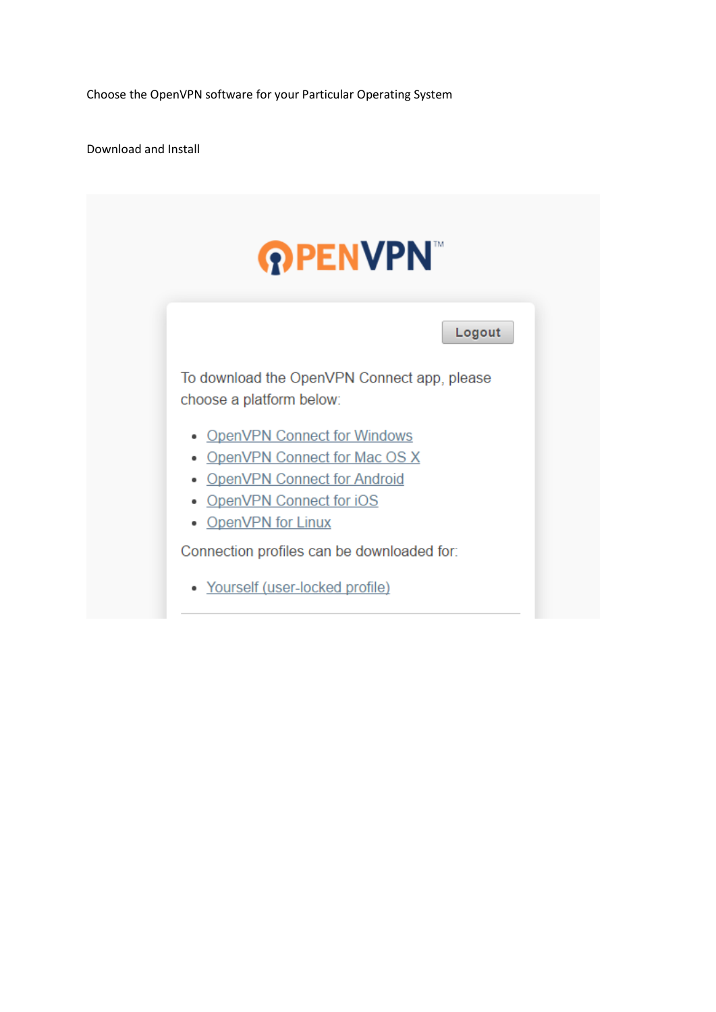Choose the OpenVPN software for your Particular Operating System

Download and Install

| <b>PENVPN</b>                                                                               |                                             |  |  |
|---------------------------------------------------------------------------------------------|---------------------------------------------|--|--|
|                                                                                             | Logout                                      |  |  |
| choose a platform below:                                                                    | To download the OpenVPN Connect app, please |  |  |
| • OpenVPN Connect for Windows<br>• OpenVPN Connect for Android<br>• OpenVPN Connect for iOS | • OpenVPN Connect for Mac OS X              |  |  |
| • OpenVPN for Linux                                                                         | Connection profiles can be downloaded for:  |  |  |
| • Yourself (user-locked profile)                                                            |                                             |  |  |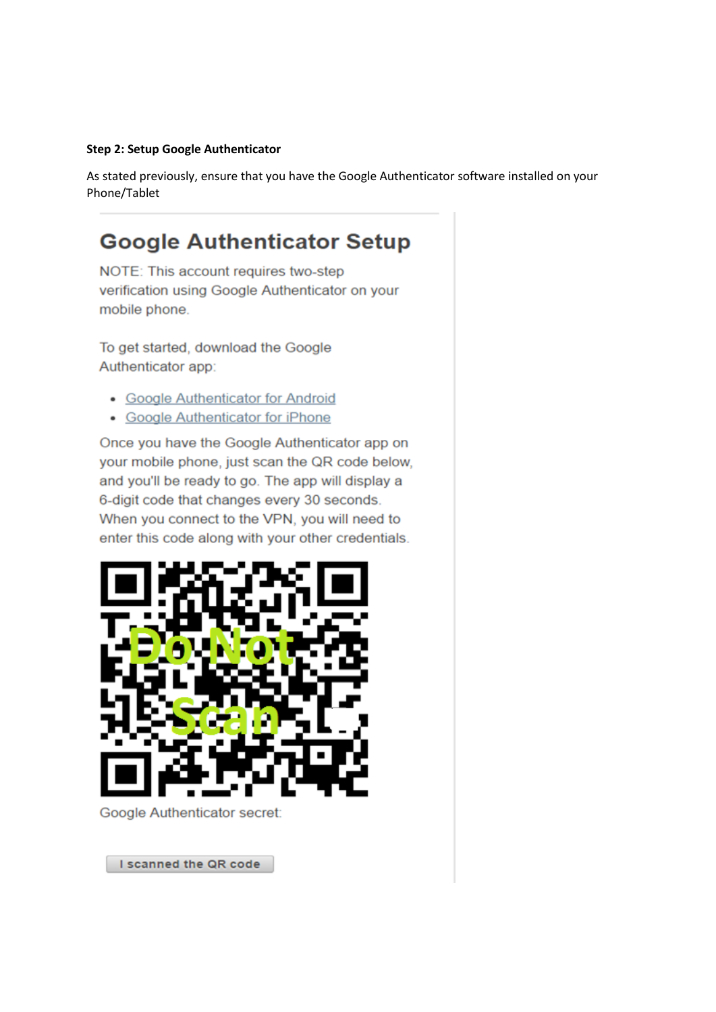#### Step 2: Setup Google Authenticator

As stated previously, ensure that you have the Google Authenticator software installed on your Phone/Tablet

# **Google Authenticator Setup**

NOTE: This account requires two-step verification using Google Authenticator on your mobile phone.

To get started, download the Google Authenticator app:

- Google Authenticator for Android
- Google Authenticator for iPhone

Once you have the Google Authenticator app on your mobile phone, just scan the QR code below, and you'll be ready to go. The app will display a 6-digit code that changes every 30 seconds. When you connect to the VPN, you will need to enter this code along with your other credentials.



**Google Authenticator secret:** 

I scanned the QR code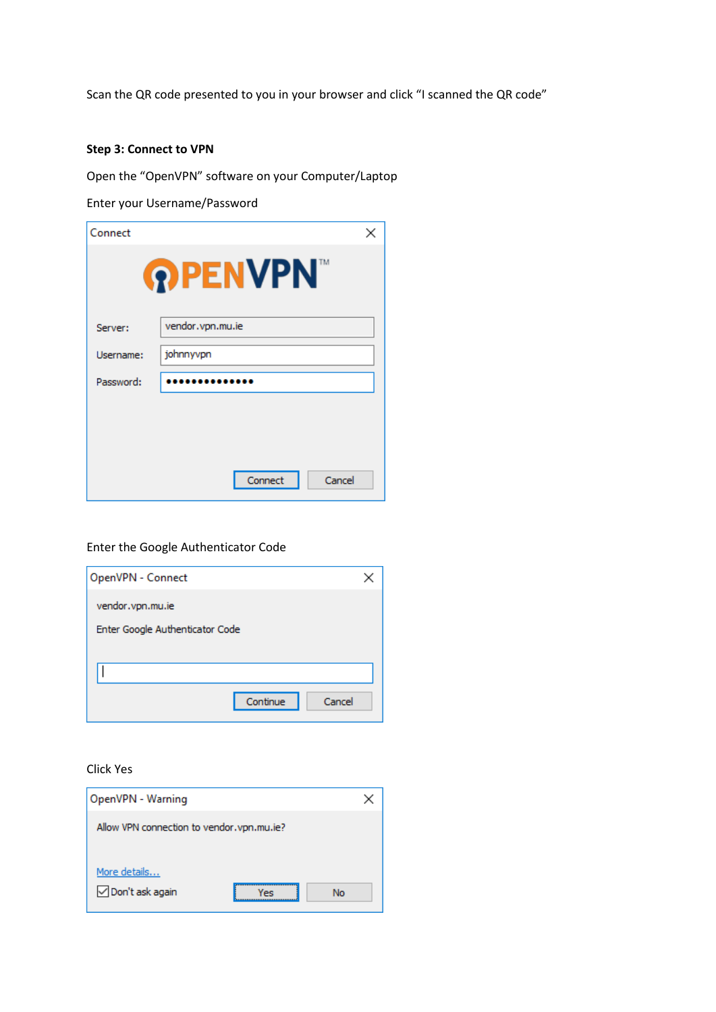Scan the QR code presented to you in your browser and click "I scanned the QR code"

### **Step 3: Connect to VPN**

Open the "OpenVPN" software on your Computer/Laptop

Enter your Username/Password

| Connect        | ×                 |  |  |  |  |
|----------------|-------------------|--|--|--|--|
| <b>PPENVPN</b> |                   |  |  |  |  |
| Server:        | vendor.vpn.mu.ie  |  |  |  |  |
| Username:      | johnnyvpn         |  |  |  |  |
| Password:      |                   |  |  |  |  |
|                |                   |  |  |  |  |
|                |                   |  |  |  |  |
|                | Connect<br>Cancel |  |  |  |  |

### Enter the Google Authenticator Code

| OpenVPN - Connect               |        |
|---------------------------------|--------|
| vendor.vpn.mu.ie                |        |
| Enter Google Authenticator Code |        |
|                                 |        |
|                                 |        |
| Continue                        | Cancel |

### Click Yes

| OpenVPN - Warning                          |     |    |
|--------------------------------------------|-----|----|
| Allow VPN connection to vendor, vpn.mu.ie? |     |    |
| More details<br>□ Don't ask again          | Yes | No |